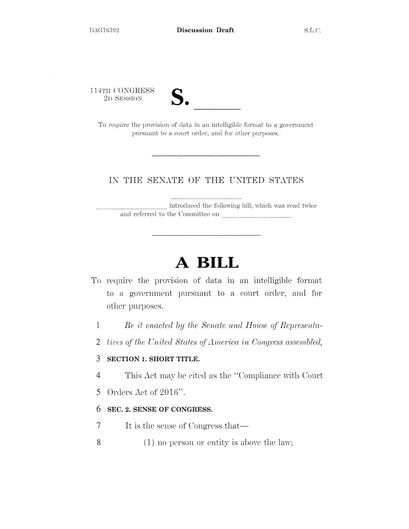l l 4TH CONGRESS 2D SESSION



To require the provision of data in an intelligible format to a government pursuant to a court order, and for other purposes.

## IN THE SENATE OF THE UNITED STATES

introdnced the following bill; which was read twice and referred to the Committee on

# **A BILL**

- To require the provision of data in an intelligible format to a government pursuant to a court order, and for other purposes.
	- 1 *Be it enacted by the Senate and House of Representa-*
	- 2 *tives of the United States of America in Congress assembled,*

#### 3 **SECTION 1. SHORT TITLE.**

- 4 This Act may be cited as the "Compliance with Court
- 5 Orders Act of 2016".

### 6 **SEC. 2. SENSE OF CONGRESS.**

- 7 It is the sense of Congress that—
- 8 (1) no person or entity is above the law;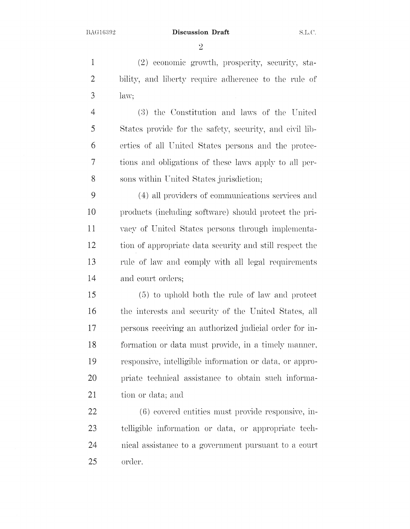Discussion Draft S.L.C.

2

1 (2) economic growth, prosperity, security, sta-2 bility, and liberty require adherence to the rule of 3 law;

4 (3) the Constitution and laws of the United 5 States provide for the safety, security, and civil lib-6 erties of all United States persons and the protec-7 tions and obligations of these laws apply to all per-8 sons within United States jurisdiction;

9 ( 4) all providers of communications services and 10 products (including software) should protect the pri-11 vacy of United States persons through implementa-12 tion of appropriate data security and still respect the 13 rule of law and comply with all legal requirements 14 and court orders;

15 ( (5) to uphold both the rule of law and protect 16 the interests and security of the United States, all 17 persons receiving an authorized judicial order for in-18 formation or data must provide, in a timely manner, 19 responsive, intelligible information or data, or appro-20 priate technical assistance to obtain such informa-21 tion or data; and

22 (6) covered entities must provide responsive, in-23 telligible information or data, or appropriate tech-24 25 nical assistance to a government pursuant a court order.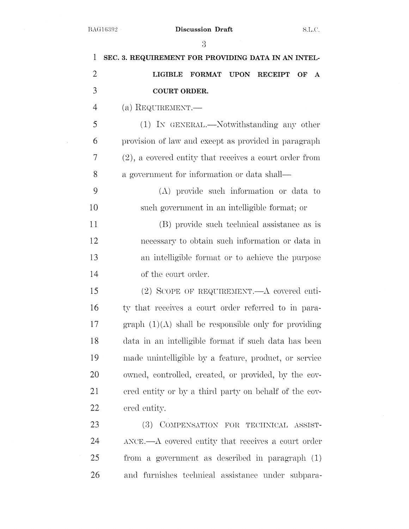$\sim$ 

|                | 3                                                                         |
|----------------|---------------------------------------------------------------------------|
| 1              | SEC. 3. REQUIREMENT FOR PROVIDING DATA IN AN INTEL-                       |
| $\overline{2}$ | FORMAT UPON RECEIPT<br><b>LIGIBLE</b><br>OF<br>A                          |
| 3              | COURT ORDER.                                                              |
| $\overline{4}$ | (a) REQUIREMENT.—                                                         |
| 5              | (1) IN GENERAL.—Notwithstanding any other                                 |
| 6              | provision of law and except as provided in paragraph                      |
| 7              | (2), a covered entity that receives a court order from                    |
| 8              | a government for information or data shall—                               |
| 9              | $(A)$ provide such information or data to                                 |
| 10             | such government in an intelligible format; or                             |
| 11             | (B) provide such technical assistance as is                               |
| 12             | necessary to obtain such information or data in                           |
| 13             | an intelligible format or to achieve the purpose                          |
| 14             | of the court order.                                                       |
| 15             | $(2)$ SCOPE OF REQUIREMENT.—A covered enti-                               |
| 16             | ty that receives a court order referred to in para-                       |
| 17             | graph $(1)(\Lambda)$ shall be responsible only for providing              |
| 18             | data in an intelligible format if such data has been                      |
| 19             | made unintelligible by a feature, product, or service                     |
| 20             | owned, controlled, created, or provided, by the cov-                      |
| 21             | ered entity or by a third party on behalf of the cov-                     |
| 22             | ered entity.                                                              |
| 23             | (3)<br>COMPENSATION FOR TECHNICAL ASSIST-                                 |
| 24             | $\triangle$ ANCE.— $\triangle$ covered entity that receives a court order |
| 25             | from a government as described in paragraph (1)                           |

26 and furnishes technical assistance under subpara-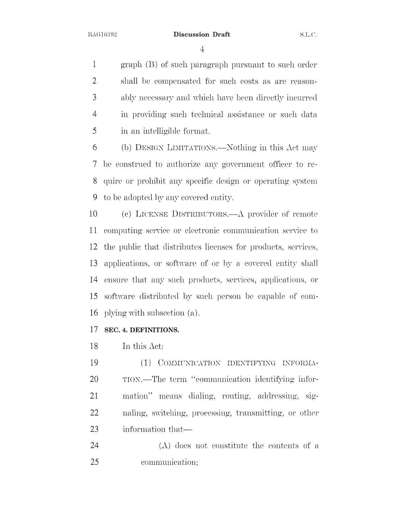4

1 graph (B) of such paragraph pursuant to such order 2 shall be compensated for such costs as are reason-3 ably necessary and which have been directly incurred 4 in providing such technical assistance or such data 5 in an intelligible format.

6 (b) DESIGN LIMITATIONS.—Nothing in this Act may 7 be construed to anthorize any government officer to re-8 quire or prohibit any specific design or operating system 9 to be adopted by any covered entity.

10 (c) LICENSE DISTRIBUTORS.—A provider of remote 11 computing service or electronic communication service to 12 the public that distributes licenses for products, services, 13 applications, or software of or by a covered entity shall 14 ensure that any such products, services, applications, or 15 software distributed by such person be capable of com-16 plying with subsection (a).

### 17 SEC. 4. DEFINITIONS.

18 In this Act:

19 20 (1) COMMUNICATION IDENTIFYING INFORMA-TION.—The term "communication identifying infor-21 mation" means dialing, routing, addressing, sig-22 naling, switching, processing, transmitting, or other 23 information that—

24 (A) does uot constitute the contents of a 25 communication: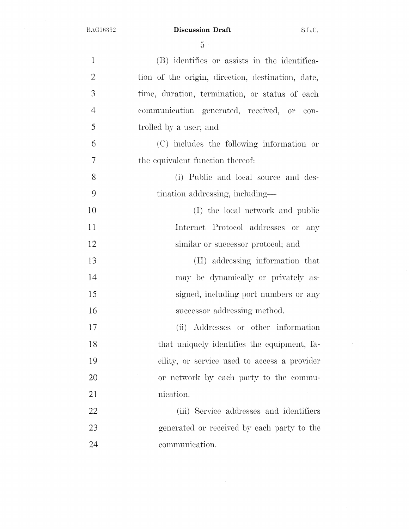BAG16392

Discussion Draft S.L.C.

 $\sim$ 

 $\mathcal{L}^{\mathcal{L}}$ 

5

| $\mathbf{1}$   | (B) identifies or assists in the identifica-      |
|----------------|---------------------------------------------------|
| $\overline{2}$ | tion of the origin, direction, destination, date, |
| 3              | time, duration, termination, or status of each    |
| $\overline{4}$ | communication generated, received, or<br>con-     |
| 5              | trolled by a user; and                            |
| 6              | (C) includes the following information or         |
| 7              | the equivalent function thereof:                  |
| 8              | (i) Public and local source and des-              |
| 9              | tination addressing, including—                   |
| 10             | (I) the local network and public                  |
| 11             | Internet Protocol addresses or<br>any             |
| 12             | similar or successor protocol; and                |
| 13             | (II) addressing information that                  |
| 14             | may be dynamically or privately as-               |
| 15             | signed, including port numbers or any             |
| 16             | successor addressing method.                      |
| 17             | (ii) Addresses or other information               |
| 18             | that uniquely identifies the equipment, fa-       |
| 19             | cility, or service used to access a provider      |
| 20             | or network by each party to the commu-            |
| 21             | nication.                                         |
| 22             | (iii) Service addresses and identifiers           |
| 23             | generated or received by each party to the        |
| 24             | communication.                                    |

 $\mathcal{L}^{\text{max}}_{\text{max}}$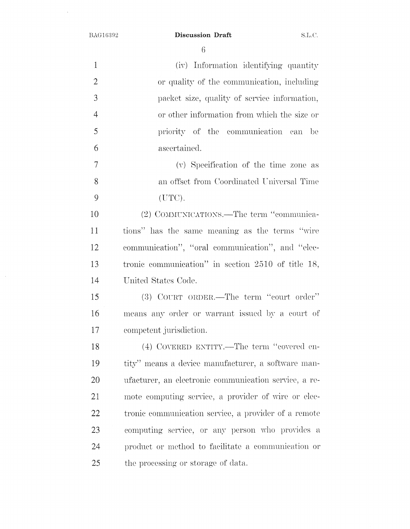$\hat{\mathcal{A}}$ 

 $\mathcal{L}_{\mathcal{A}}$ 

## BAG16392 **Discussion Draft** S.L.C.

6

| $\mathbf{1}$   | (iv) Information identifying quantity                 |
|----------------|-------------------------------------------------------|
| $\overline{2}$ | or quality of the communication, including            |
| 3              | packet size, quality of service information,          |
| $\overline{4}$ | or other information from which the size or           |
| 5              | priority of the communication can be                  |
| 6              | ascertained.                                          |
| 7              | (v) Specification of the time zone as                 |
| $8\,$          | an offset from Coordinated Universal Time             |
| 9              | (UTC).                                                |
| 10             | (2) COMMUNICATIONS.—The term "communica-              |
| 11             | tions" has the same meaning as the terms "wire        |
| 12             | communication", "oral communication", and "elec-      |
| 13             | tronic communication" in section 2510 of title 18,    |
| 14             | United States Code.                                   |
| 15             | (3) COURT ORDER.—The term "court order"               |
| 16             | means any order or warrant issued by a court of       |
| 17             | competent jurisdiction.                               |
| 18             | (4) COVERED ENTITY.—The term "covered en-             |
| 19             | tity" means a device manufacturer, a software man-    |
| 20             | ufacturer, an electronic communication service, a re- |
| 21             | mote computing service, a provider of wire or elec-   |
| 22             | tronic communication service, a provider of a remote  |
| 23             | computing service, or any person who provides a       |
| 24             | product or method to facilitate a communication or    |
| 25             | the processing or storage of data.                    |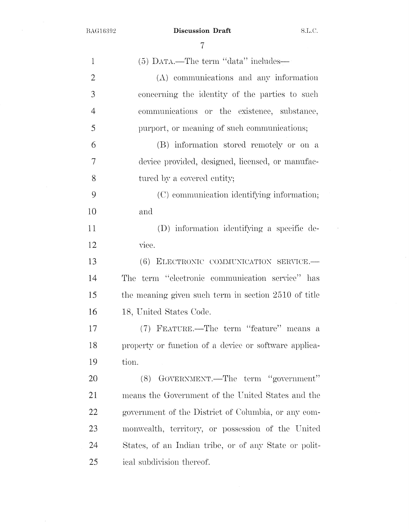BAG16392

 $\mathcal{A}^{\mathcal{A}}$ 

**Discussion Draft** S.L.C.

 $\mathcal{A}^{\mathcal{A}}$ 

7

| $\mathbf{1}$   | $(5)$ DATA.—The term "data" includes—                 |
|----------------|-------------------------------------------------------|
| 2              | $(\Lambda)$ communications and any information        |
| 3              | concerning the identity of the parties to such        |
| $\overline{4}$ | communications or the existence, substance,           |
| 5              | purport, or meaning of such communications;           |
| 6              | (B) information stored remotely or on a               |
| $\tau$         | device provided, designed, licensed, or manufac-      |
| 8              | tured by a covered entity;                            |
| 9              | (C) communication identifying information;            |
| 10             | and                                                   |
| 11             | (D) information identifying a specific de-            |
| 12             | vice.                                                 |
| 13             | (6) ELECTRONIC COMMUNICATION SERVICE.                 |
| 14             | The term "electronic communication service" has       |
| 15             | the meaning given such term in section 2510 of title  |
| 16             | 18, United States Code.                               |
| 17             | (7) FEATURE.—The term "feature" means a               |
| 18             | property or function of a device or software applica- |
| 19             | tion.                                                 |
| 20             | GOVERNMENT.—The term "government"<br>(8)              |
| 21             | means the Government of the United States and the     |
| 22             | government of the District of Columbia, or any com-   |
| 23             | monwealth, territory, or possession of the United     |
| 24             | States, of an Indian tribe, or of any State or polit- |
| 25             | ical subdivision thereof.                             |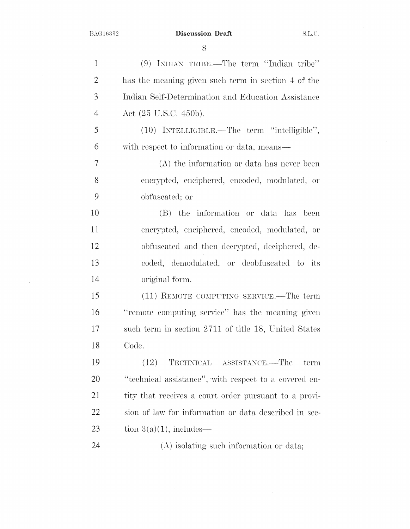$\sim 10^{-1}$ 

BAG16392 **Discussion Draft** S.L.C.

8

| 1              | $(9)$ INDIAN TRIBE.—The term "Indian tribe"           |
|----------------|-------------------------------------------------------|
| $\overline{2}$ | has the meaning given such term in section 4 of the   |
| 3              | Indian Self-Determination and Education Assistance    |
| $\overline{4}$ | Act $(25 \text{ U.S.C. } 450 \text{b}).$              |
| 5              | (10) INTELLIGIBLE.—The term "intelligible",           |
| 6              | with respect to information or data, means—           |
| 7              | $(A)$ the information or data has never been          |
| 8              | encrypted, enciphered, encoded, modulated, or         |
| 9              | obfuscated; or                                        |
| 10             | (B) the information or data has been                  |
| 11             | encrypted, enciphered, encoded, modulated, or         |
| 12             | obfuscated and then decrypted, deciphered, de-        |
| 13             | coded, demodulated, or deobfuscated to its            |
| 14             | original form.                                        |
| 15             | (11) REMOTE COMPUTING SERVICE.—The term               |
| 16             | "remote computing service" has the meaning given      |
| 17             | such term in section 2711 of title 18, United States  |
| 18             | Code.                                                 |
| 19             | (12)<br>TECHNICAL ASSISTANCE.—The<br>term             |
| 20             | "technical assistance", with respect to a covered en- |
| 21             | tity that receives a court order pursuant to a provi- |
| 22             | sion of law for information or data described in sec- |
| 23             | tion $3(a)(1)$ , includes—                            |
| 24             | $(A)$ isolating such information or data;             |